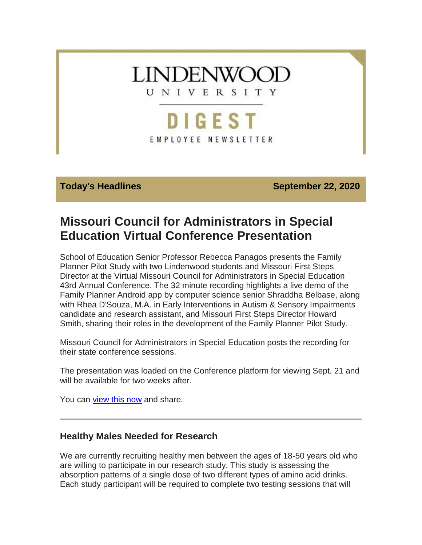

**Today's Headlines September 22, 2020** 

# **Missouri Council for Administrators in Special Education Virtual Conference Presentation**

School of Education Senior Professor Rebecca Panagos presents the Family Planner Pilot Study with two Lindenwood students and Missouri First Steps Director at the Virtual Missouri Council for Administrators in Special Education 43rd Annual Conference. The 32 minute recording highlights a live demo of the Family Planner Android app by computer science senior Shraddha Belbase, along with Rhea D'Souza, M.A. in Early Interventions in Autism & Sensory Impairments candidate and research assistant, and Missouri First Steps Director Howard Smith, sharing their roles in the development of the Family Planner Pilot Study.

Missouri Council for Administrators in Special Education posts the recording for their state conference sessions.

The presentation was loaded on the Conference platform for viewing Sept. 21 and will be available for two weeks after.

You can [view this now](https://hes32-ctp.trendmicro.com/wis/clicktime/v1/query?url=https%3a%2f%2fcustapp.marketvolt.com%2flink%2foDwqapsC11%3fCM%3d1586420091%26X%3d70525052&umid=8628dd19-3259-4298-9fad-f5bc211d53f0&auth=bc7ac43e330fa629f0cfb11786c85e83c10d06b8-e58cced690f408ec47f23364889e6e8415db4593) and share.

# **Healthy Males Needed for Research**

We are currently recruiting healthy men between the ages of 18-50 years old who are willing to participate in our research study. This study is assessing the absorption patterns of a single dose of two different types of amino acid drinks. Each study participant will be required to complete two testing sessions that will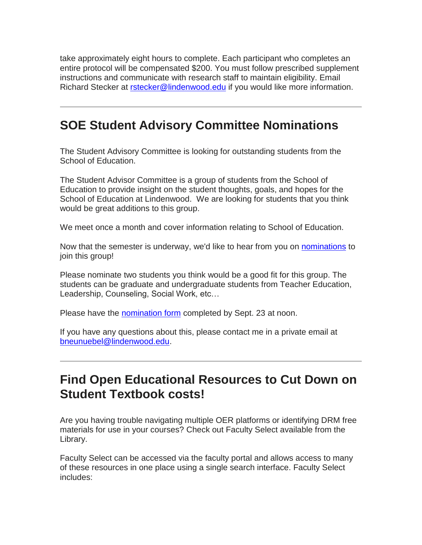take approximately eight hours to complete. Each participant who completes an entire protocol will be compensated \$200. You must follow prescribed supplement instructions and communicate with research staff to maintain eligibility. Email Richard Stecker at [rstecker@lindenwood.edu](mailto:rstecker@lindenwood.edu) if you would like more information.

# **SOE Student Advisory Committee Nominations**

The Student Advisory Committee is looking for outstanding students from the School of Education.

The Student Advisor Committee is a group of students from the School of Education to provide insight on the student thoughts, goals, and hopes for the School of Education at Lindenwood. We are looking for students that you think would be great additions to this group.

We meet once a month and cover information relating to School of Education.

Now that the semester is underway, we'd like to hear from you on [nominations](https://hes32-ctp.trendmicro.com/wis/clicktime/v1/query?url=https%3a%2f%2fcustapp.marketvolt.com%2flink%2fYnCr4QxUQD%3fCM%3d1586420091%26X%3d70525052&umid=8628dd19-3259-4298-9fad-f5bc211d53f0&auth=bc7ac43e330fa629f0cfb11786c85e83c10d06b8-9ec96d3f50700c9368b4aaee62e16aeab5982b9a) to join this group!

Please nominate two students you think would be a good fit for this group. The students can be graduate and undergraduate students from Teacher Education, Leadership, Counseling, Social Work, etc…

Please have the **nomination form** completed by Sept. 23 at noon.

If you have any questions about this, please contact me in a private email at [bneunuebel@lindenwood.edu.](mailto:bneunuebel@lindenwood.edu)

# **Find Open Educational Resources to Cut Down on Student Textbook costs!**

Are you having trouble navigating multiple OER platforms or identifying DRM free materials for use in your courses? Check out Faculty Select available from the Library.

Faculty Select can be accessed via the faculty portal and allows access to many of these resources in one place using a single search interface. Faculty Select includes: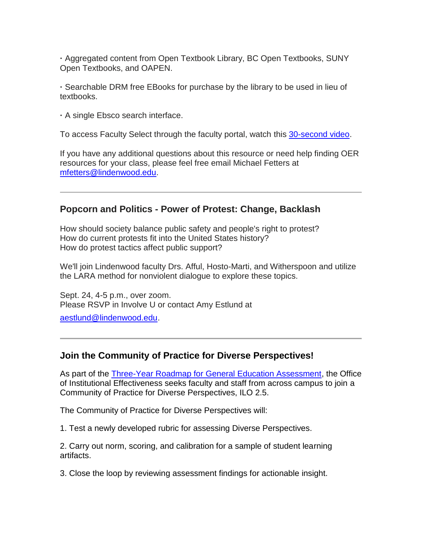**·** Aggregated content from Open Textbook Library, BC Open Textbooks, SUNY Open Textbooks, and OAPEN.

**·** Searchable DRM free EBooks for purchase by the library to be used in lieu of textbooks.

**·** A single Ebsco search interface.

To access Faculty Select through the faculty portal, watch this [30-second video.](https://hes32-ctp.trendmicro.com/wis/clicktime/v1/query?url=https%3a%2f%2fcustapp.marketvolt.com%2flink%2f6cF9nehAxu%3fCM%3d1586420091%26X%3d70525052&umid=8628dd19-3259-4298-9fad-f5bc211d53f0&auth=bc7ac43e330fa629f0cfb11786c85e83c10d06b8-8644d775480f44c975ec81dd778bf281a8ec2bd4)

If you have any additional questions about this resource or need help finding OER resources for your class, please feel free email Michael Fetters at [mfetters@lindenwood.edu.](mailto:mfetters@lindenwood.edu)

## **Popcorn and Politics - Power of Protest: Change, Backlash**

How should society balance public safety and people's right to protest? How do current protests fit into the United States history? How do protest tactics affect public support?

We'll join Lindenwood faculty Drs. Afful, Hosto-Marti, and Witherspoon and utilize the LARA method for nonviolent dialogue to explore these topics.

Sept. 24, 4-5 p.m., over zoom. Please RSVP in Involve U or contact Amy Estlund at

[aestlund@lindenwood.edu.](mailto:aestlund@lindenwood.edu)

### **Join the Community of Practice for Diverse Perspectives!**

As part of the [Three-Year Roadmap for General Education Assessment,](https://hes32-ctp.trendmicro.com/wis/clicktime/v1/query?url=https%3a%2f%2fcustapp.marketvolt.com%2flink%2f1KvKSbskah%3fCM%3d1586420091%26X%3d70525052&umid=8628dd19-3259-4298-9fad-f5bc211d53f0&auth=bc7ac43e330fa629f0cfb11786c85e83c10d06b8-e12f8267625ca1dc54f4ddd8e0fc5e96bb165b92) the Office of Institutional Effectiveness seeks faculty and staff from across campus to join a Community of Practice for Diverse Perspectives, ILO 2.5.

The Community of Practice for Diverse Perspectives will:

1. Test a newly developed rubric for assessing Diverse Perspectives.

2. Carry out norm, scoring, and calibration for a sample of student learning artifacts.

3. Close the loop by reviewing assessment findings for actionable insight.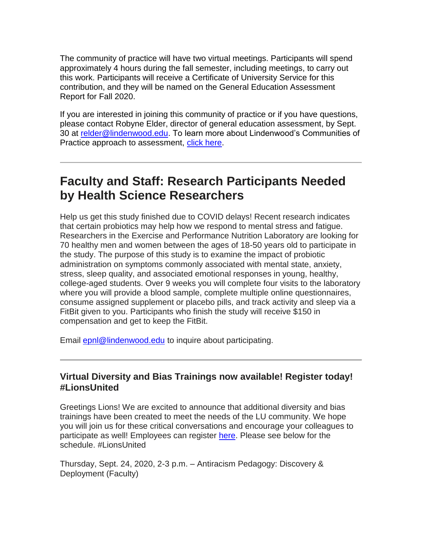The community of practice will have two virtual meetings. Participants will spend approximately 4 hours during the fall semester, including meetings, to carry out this work. Participants will receive a Certificate of University Service for this contribution, and they will be named on the General Education Assessment Report for Fall 2020.

If you are interested in joining this community of practice or if you have questions, please contact Robyne Elder, director of general education assessment, by Sept. 30 at [relder@lindenwood.edu.](mailto:relder@lindenwood.edu) To learn more about Lindenwood's Communities of Practice approach to assessment, [click here.](https://hes32-ctp.trendmicro.com/wis/clicktime/v1/query?url=https%3a%2f%2fcustapp.marketvolt.com%2flink%2f1p7vVUcoq2%3fCM%3d1586420091%26X%3d70525052&umid=8628dd19-3259-4298-9fad-f5bc211d53f0&auth=bc7ac43e330fa629f0cfb11786c85e83c10d06b8-320061787bbd6276489f3ef23b2c657aa1d92aa2)

# **Faculty and Staff: Research Participants Needed by Health Science Researchers**

Help us get this study finished due to COVID delays! Recent research indicates that certain probiotics may help how we respond to mental stress and fatigue. Researchers in the Exercise and Performance Nutrition Laboratory are looking for 70 healthy men and women between the ages of 18-50 years old to participate in the study. The purpose of this study is to examine the impact of probiotic administration on symptoms commonly associated with mental state, anxiety, stress, sleep quality, and associated emotional responses in young, healthy, college-aged students. Over 9 weeks you will complete four visits to the laboratory where you will provide a blood sample, complete multiple online questionnaires, consume assigned supplement or placebo pills, and track activity and sleep via a FitBit given to you. Participants who finish the study will receive \$150 in compensation and get to keep the FitBit.

Email **epnl@lindenwood.edu** to inquire about participating.

## **Virtual Diversity and Bias Trainings now available! Register today! #LionsUnited**

Greetings Lions! We are excited to announce that additional diversity and bias trainings have been created to meet the needs of the LU community. We hope you will join us for these critical conversations and encourage your colleagues to participate as well! Employees can register [here.](https://hes32-ctp.trendmicro.com/wis/clicktime/v1/query?url=https%3a%2f%2fcustapp.marketvolt.com%2flink%2fTAgYKCxfct%3fCM%3d1586420091%26X%3d70525052&umid=8628dd19-3259-4298-9fad-f5bc211d53f0&auth=bc7ac43e330fa629f0cfb11786c85e83c10d06b8-ef4b75a773d982874b4d03a589cbb7ac1d589ea4) Please see below for the schedule. #LionsUnited

Thursday, Sept. 24, 2020, 2-3 p.m. – Antiracism Pedagogy: Discovery & Deployment (Faculty)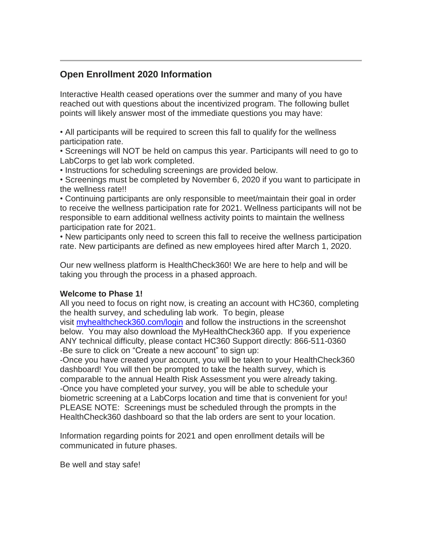# **Open Enrollment 2020 Information**

Interactive Health ceased operations over the summer and many of you have reached out with questions about the incentivized program. The following bullet points will likely answer most of the immediate questions you may have:

• All participants will be required to screen this fall to qualify for the wellness participation rate.

• Screenings will NOT be held on campus this year. Participants will need to go to LabCorps to get lab work completed.

• Instructions for scheduling screenings are provided below.

• Screenings must be completed by November 6, 2020 if you want to participate in the wellness rate!!

• Continuing participants are only responsible to meet/maintain their goal in order to receive the wellness participation rate for 2021. Wellness participants will not be responsible to earn additional wellness activity points to maintain the wellness participation rate for 2021.

• New participants only need to screen this fall to receive the wellness participation rate. New participants are defined as new employees hired after March 1, 2020.

Our new wellness platform is HealthCheck360! We are here to help and will be taking you through the process in a phased approach.

#### **Welcome to Phase 1!**

All you need to focus on right now, is creating an account with HC360, completing the health survey, and scheduling lab work. To begin, please visit [myhealthcheck360.com/login](https://hes32-ctp.trendmicro.com/wis/clicktime/v1/query?url=https%3a%2f%2fcustapp.marketvolt.com%2flink%2fhW5vbu5FHq%3fCM%3d1586420091%26X%3d70525052&umid=8628dd19-3259-4298-9fad-f5bc211d53f0&auth=bc7ac43e330fa629f0cfb11786c85e83c10d06b8-d6917c5bdb2c436ad54d1ae7bcfbd200fe138b70) and follow the instructions in the screenshot below. You may also download the MyHealthCheck360 app. If you experience ANY technical difficulty, please contact HC360 Support directly: 866-511-0360 -Be sure to click on "Create a new account" to sign up:

-Once you have created your account, you will be taken to your HealthCheck360 dashboard! You will then be prompted to take the health survey, which is comparable to the annual Health Risk Assessment you were already taking. -Once you have completed your survey, you will be able to schedule your biometric screening at a LabCorps location and time that is convenient for you! PLEASE NOTE: Screenings must be scheduled through the prompts in the HealthCheck360 dashboard so that the lab orders are sent to your location.

Information regarding points for 2021 and open enrollment details will be communicated in future phases.

Be well and stay safe!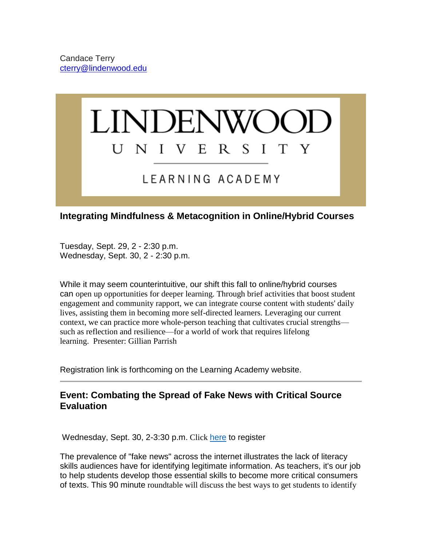

# **Integrating Mindfulness & Metacognition in Online/Hybrid Courses**

Tuesday, Sept. 29, 2 - 2:30 p.m. Wednesday, Sept. 30, 2 - 2:30 p.m.

While it may seem counterintuitive, our shift this fall to online/hybrid courses can open up opportunities for deeper learning. Through brief activities that boost student engagement and community rapport, we can integrate course content with students' daily lives, assisting them in becoming more self-directed learners. Leveraging our current context, we can practice more whole-person teaching that cultivates crucial strengths such as reflection and resilience—for a world of work that requires lifelong learning. Presenter: Gillian Parrish

Registration link is forthcoming on the Learning Academy website.

# **Event: Combating the Spread of Fake News with Critical Source Evaluation**

Wednesday, Sept. 30, 2-3:30 p.m. Click [here](https://hes32-ctp.trendmicro.com/wis/clicktime/v1/query?url=https%3a%2f%2fcustapp.marketvolt.com%2flink%2fTF9cTfUfNr%3fCM%3d1586420091%26X%3d70525052&umid=8628dd19-3259-4298-9fad-f5bc211d53f0&auth=bc7ac43e330fa629f0cfb11786c85e83c10d06b8-0a93cd8805da17b3608d60c680b3c1cb52fbf01e) to register

The prevalence of "fake news" across the internet illustrates the lack of literacy skills audiences have for identifying legitimate information. As teachers, it's our job to help students develop those essential skills to become more critical consumers of texts. This 90 minute roundtable will discuss the best ways to get students to identify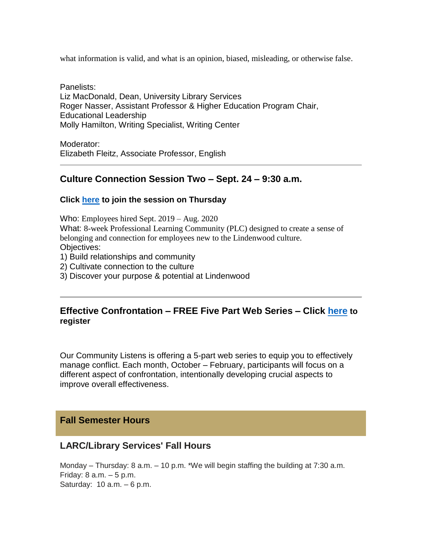what information is valid, and what is an opinion, biased, misleading, or otherwise false.

Panelists: Liz MacDonald, Dean, University Library Services Roger Nasser, Assistant Professor & Higher Education Program Chair, Educational Leadership Molly Hamilton, Writing Specialist, Writing Center

Moderator: Elizabeth Fleitz, Associate Professor, English

## **Culture Connection Session Two – Sept. 24 – 9:30 a.m.**

#### **Click [here](https://hes32-ctp.trendmicro.com/wis/clicktime/v1/query?url=https%3a%2f%2fcustapp.marketvolt.com%2flink%2fAGbfUcXlfo%3fCM%3d1586420091%26X%3d70525052&umid=8628dd19-3259-4298-9fad-f5bc211d53f0&auth=bc7ac43e330fa629f0cfb11786c85e83c10d06b8-fbd986ac775a6d2ee11ab42b2d37583a2023a7f4) to join the session on Thursday**

Who: Employees hired Sept. 2019 – Aug. 2020

What: 8-week Professional Learning Community (PLC) designed to create a sense of belonging and connection for employees new to the Lindenwood culture. Objectives:

- 1) Build relationships and community
- 2) Cultivate connection to the culture
- 3) Discover your purpose & potential at Lindenwood

## **Effective Confrontation – FREE Five Part Web Series – Click [here](https://hes32-ctp.trendmicro.com/wis/clicktime/v1/query?url=https%3a%2f%2fcustapp.marketvolt.com%2flink%2fPvHehfg7Ll%3fCM%3d1586420091%26X%3d70525052&umid=8628dd19-3259-4298-9fad-f5bc211d53f0&auth=bc7ac43e330fa629f0cfb11786c85e83c10d06b8-a8b603049c016342bf2b1fa3cd553549cb8b7579) to register**

Our Community Listens is offering a 5-part web series to equip you to effectively manage conflict. Each month, October – February, participants will focus on a different aspect of confrontation, intentionally developing crucial aspects to improve overall effectiveness.

#### **Fall Semester Hours**

#### **LARC/Library Services' Fall Hours**

Monday – Thursday: 8 a.m. – 10 p.m. \*We will begin staffing the building at 7:30 a.m. Friday: 8 a.m. – 5 p.m. Saturday: 10 a.m. – 6 p.m.